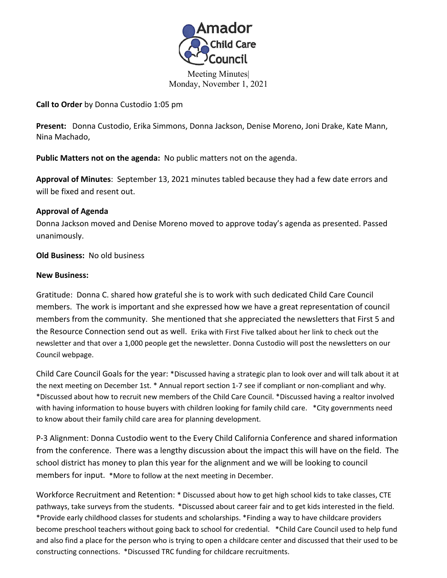

Meeting Minutes| Monday, November 1, 2021

**Call to Order** by Donna Custodio 1:05 pm

**Present:** Donna Custodio, Erika Simmons, Donna Jackson, Denise Moreno, Joni Drake, Kate Mann, Nina Machado,

**Public Matters not on the agenda:** No public matters not on the agenda.<br>**Approval of Minutes**: September 13, 2021 minutes tabled because they had a few date errors and will be fixed and resent out.

## **Approval of Agenda**

Donna Jackson moved and Denise Moreno moved to approve today's agenda as presented. Passed unanimously.

**Old Business:** No old business

## **New Business:**

Gratitude: Donna C. shared how grateful she is to work with such dedicated Child Care Council members. The work is important and she expressed how we have a great representation of council members from the community. She mentioned that she appreciated the newsletters that First 5 and the Resource Connection send out as well. Erika with First Five talked about her link to check out the newsletter and that over a 1,000 people get the newsletter. Donna Custodio will post the newsletters on our Council webpage.

Child Care Council Goals for the year: \*Discussed having a strategic plan to look over and will talk about it at the next meeting on December 1st. \* Annual report section 1-7 see if compliant or non-compliant and why. \*Discussed about how to recruit new members of the Child Care Council. \*Discussed having a realtor involved with having information to house buyers with children looking for family child care. \* City governments need to know about their family child care area for planning development.

P-3 Alignment: Donna Custodio went to the Every Child California Conference and shared information from the conference. There was a lengthy discussion about the impact this will have on the field. The school district has money to plan this year for the alignment and we will be looking to council members for input. \*More to follow at the next meeting in December.

Workforce Recruitment and Retention: \* Discussed about how to get high school kids to take classes, CTE pathways, take surveys from the students. \*Discussed about career fair and to get kids interested in the field. \*Provide early childhood classes for students and scholarships. \*Finding a way to have childcare providers become preschool teachers without going back to school for credential. \*Child Care Council used to help fund and also find a place for the person who is trying to open a childcare center and discussed that their used to be constructing connections. \*Discussed TRC funding for childcare recruitments.